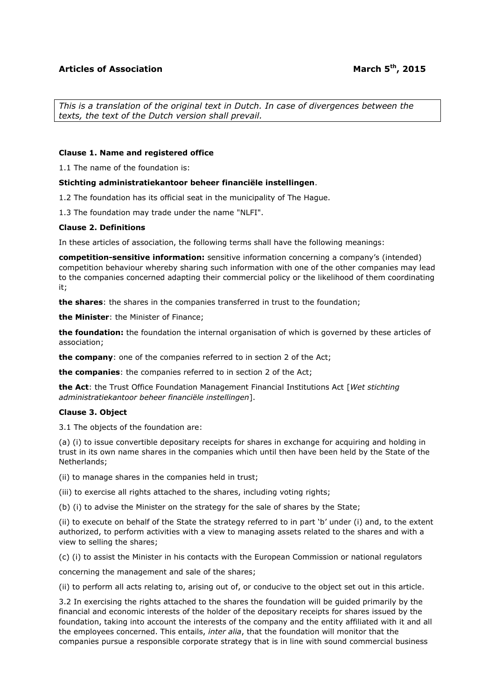*This is a translation of the original text in Dutch. In case of divergences between the texts, the text of the Dutch version shall prevail.*

### **Clause 1. Name and registered office**

1.1 The name of the foundation is:

#### **Stichting administratiekantoor beheer financiële instellingen**.

1.2 The foundation has its official seat in the municipality of The Hague.

1.3 The foundation may trade under the name "NLFI".

#### **Clause 2. Definitions**

In these articles of association, the following terms shall have the following meanings:

**competition-sensitive information:** sensitive information concerning a company's (intended) competition behaviour whereby sharing such information with one of the other companies may lead to the companies concerned adapting their commercial policy or the likelihood of them coordinating it;

**the shares**: the shares in the companies transferred in trust to the foundation;

**the Minister**: the Minister of Finance;

**the foundation:** the foundation the internal organisation of which is governed by these articles of association;

**the company**: one of the companies referred to in section 2 of the Act;

**the companies**: the companies referred to in section 2 of the Act;

**the Act**: the Trust Office Foundation Management Financial Institutions Act [*Wet stichting administratiekantoor beheer financiële instellingen*].

### **Clause 3. Object**

3.1 The objects of the foundation are:

(a) (i) to issue convertible depositary receipts for shares in exchange for acquiring and holding in trust in its own name shares in the companies which until then have been held by the State of the Netherlands;

(ii) to manage shares in the companies held in trust;

(iii) to exercise all rights attached to the shares, including voting rights;

(b) (i) to advise the Minister on the strategy for the sale of shares by the State;

(ii) to execute on behalf of the State the strategy referred to in part 'b' under (i) and, to the extent authorized, to perform activities with a view to managing assets related to the shares and with a view to selling the shares;

(c) (i) to assist the Minister in his contacts with the European Commission or national regulators

concerning the management and sale of the shares;

(ii) to perform all acts relating to, arising out of, or conducive to the object set out in this article.

3.2 In exercising the rights attached to the shares the foundation will be guided primarily by the financial and economic interests of the holder of the depositary receipts for shares issued by the foundation, taking into account the interests of the company and the entity affiliated with it and all the employees concerned. This entails, *inter alia*, that the foundation will monitor that the companies pursue a responsible corporate strategy that is in line with sound commercial business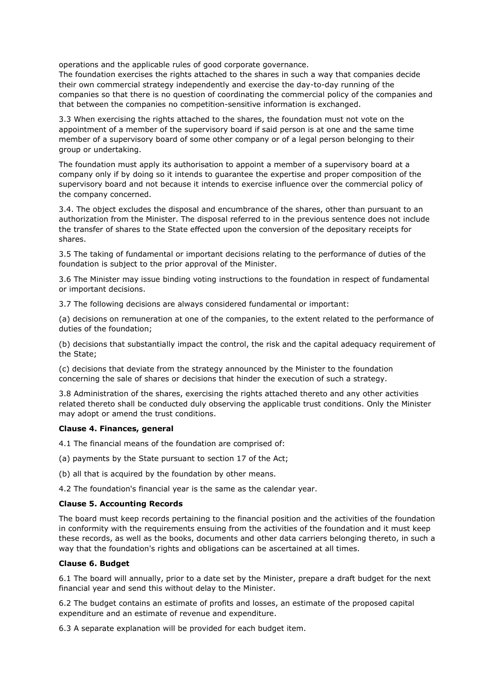operations and the applicable rules of good corporate governance.

The foundation exercises the rights attached to the shares in such a way that companies decide their own commercial strategy independently and exercise the day-to-day running of the companies so that there is no question of coordinating the commercial policy of the companies and that between the companies no competition-sensitive information is exchanged.

3.3 When exercising the rights attached to the shares, the foundation must not vote on the appointment of a member of the supervisory board if said person is at one and the same time member of a supervisory board of some other company or of a legal person belonging to their group or undertaking.

The foundation must apply its authorisation to appoint a member of a supervisory board at a company only if by doing so it intends to guarantee the expertise and proper composition of the supervisory board and not because it intends to exercise influence over the commercial policy of the company concerned.

3.4. The object excludes the disposal and encumbrance of the shares, other than pursuant to an authorization from the Minister. The disposal referred to in the previous sentence does not include the transfer of shares to the State effected upon the conversion of the depositary receipts for shares.

3.5 The taking of fundamental or important decisions relating to the performance of duties of the foundation is subject to the prior approval of the Minister.

3.6 The Minister may issue binding voting instructions to the foundation in respect of fundamental or important decisions.

3.7 The following decisions are always considered fundamental or important:

(a) decisions on remuneration at one of the companies, to the extent related to the performance of duties of the foundation;

(b) decisions that substantially impact the control, the risk and the capital adequacy requirement of the State;

(c) decisions that deviate from the strategy announced by the Minister to the foundation concerning the sale of shares or decisions that hinder the execution of such a strategy.

3.8 Administration of the shares, exercising the rights attached thereto and any other activities related thereto shall be conducted duly observing the applicable trust conditions. Only the Minister may adopt or amend the trust conditions.

### **Clause 4. Finances, general**

4.1 The financial means of the foundation are comprised of:

- (a) payments by the State pursuant to section 17 of the Act;
- (b) all that is acquired by the foundation by other means.

4.2 The foundation's financial year is the same as the calendar year.

### **Clause 5. Accounting Records**

The board must keep records pertaining to the financial position and the activities of the foundation in conformity with the requirements ensuing from the activities of the foundation and it must keep these records, as well as the books, documents and other data carriers belonging thereto, in such a way that the foundation's rights and obligations can be ascertained at all times.

### **Clause 6. Budget**

6.1 The board will annually, prior to a date set by the Minister, prepare a draft budget for the next financial year and send this without delay to the Minister.

6.2 The budget contains an estimate of profits and losses, an estimate of the proposed capital expenditure and an estimate of revenue and expenditure.

6.3 A separate explanation will be provided for each budget item.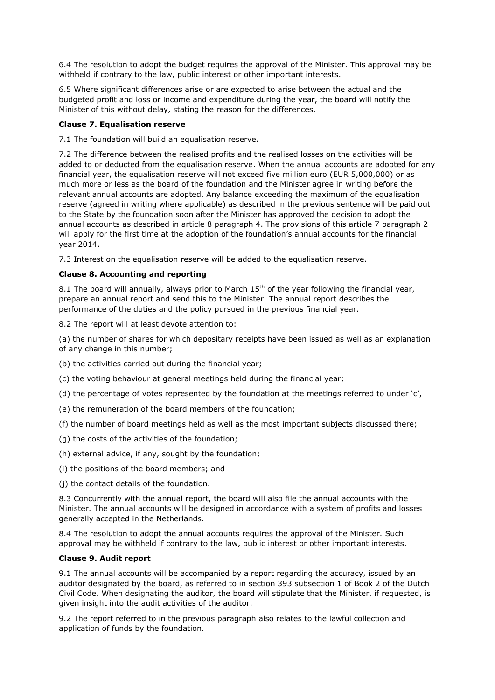6.4 The resolution to adopt the budget requires the approval of the Minister. This approval may be withheld if contrary to the law, public interest or other important interests.

6.5 Where significant differences arise or are expected to arise between the actual and the budgeted profit and loss or income and expenditure during the year, the board will notify the Minister of this without delay, stating the reason for the differences.

# **Clause 7. Equalisation reserve**

7.1 The foundation will build an equalisation reserve.

7.2 The difference between the realised profits and the realised losses on the activities will be added to or deducted from the equalisation reserve. When the annual accounts are adopted for any financial year, the equalisation reserve will not exceed five million euro (EUR 5,000,000) or as much more or less as the board of the foundation and the Minister agree in writing before the relevant annual accounts are adopted. Any balance exceeding the maximum of the equalisation reserve (agreed in writing where applicable) as described in the previous sentence will be paid out to the State by the foundation soon after the Minister has approved the decision to adopt the annual accounts as described in article 8 paragraph 4. The provisions of this article 7 paragraph 2 will apply for the first time at the adoption of the foundation's annual accounts for the financial year 2014.

7.3 Interest on the equalisation reserve will be added to the equalisation reserve.

## **Clause 8. Accounting and reporting**

8.1 The board will annually, always prior to March  $15<sup>th</sup>$  of the year following the financial year, prepare an annual report and send this to the Minister. The annual report describes the performance of the duties and the policy pursued in the previous financial year.

8.2 The report will at least devote attention to:

(a) the number of shares for which depositary receipts have been issued as well as an explanation of any change in this number;

- (b) the activities carried out during the financial year;
- (c) the voting behaviour at general meetings held during the financial year;
- (d) the percentage of votes represented by the foundation at the meetings referred to under 'c',
- (e) the remuneration of the board members of the foundation;
- (f) the number of board meetings held as well as the most important subjects discussed there;
- (g) the costs of the activities of the foundation;
- (h) external advice, if any, sought by the foundation;
- (i) the positions of the board members; and
- (j) the contact details of the foundation.

8.3 Concurrently with the annual report, the board will also file the annual accounts with the Minister. The annual accounts will be designed in accordance with a system of profits and losses generally accepted in the Netherlands.

8.4 The resolution to adopt the annual accounts requires the approval of the Minister. Such approval may be withheld if contrary to the law, public interest or other important interests.

## **Clause 9. Audit report**

9.1 The annual accounts will be accompanied by a report regarding the accuracy, issued by an auditor designated by the board, as referred to in section 393 subsection 1 of Book 2 of the Dutch Civil Code. When designating the auditor, the board will stipulate that the Minister, if requested, is given insight into the audit activities of the auditor.

9.2 The report referred to in the previous paragraph also relates to the lawful collection and application of funds by the foundation.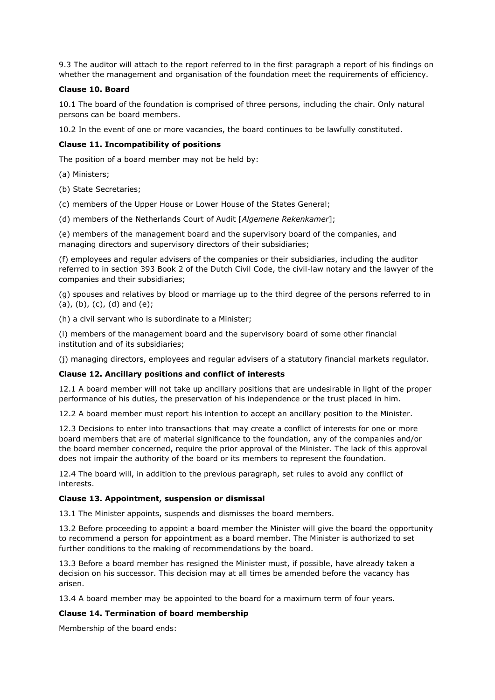9.3 The auditor will attach to the report referred to in the first paragraph a report of his findings on whether the management and organisation of the foundation meet the requirements of efficiency.

## **Clause 10. Board**

10.1 The board of the foundation is comprised of three persons, including the chair. Only natural persons can be board members.

10.2 In the event of one or more vacancies, the board continues to be lawfully constituted.

## **Clause 11. Incompatibility of positions**

The position of a board member may not be held by:

- (a) Ministers;
- (b) State Secretaries;

(c) members of the Upper House or Lower House of the States General;

(d) members of the Netherlands Court of Audit [*Algemene Rekenkamer*];

(e) members of the management board and the supervisory board of the companies, and managing directors and supervisory directors of their subsidiaries;

(f) employees and regular advisers of the companies or their subsidiaries, including the auditor referred to in section 393 Book 2 of the Dutch Civil Code, the civil-law notary and the lawyer of the companies and their subsidiaries;

(g) spouses and relatives by blood or marriage up to the third degree of the persons referred to in  $(a), (b), (c), (d)$  and  $(e);$ 

(h) a civil servant who is subordinate to a Minister;

(i) members of the management board and the supervisory board of some other financial institution and of its subsidiaries;

(j) managing directors, employees and regular advisers of a statutory financial markets regulator.

### **Clause 12. Ancillary positions and conflict of interests**

12.1 A board member will not take up ancillary positions that are undesirable in light of the proper performance of his duties, the preservation of his independence or the trust placed in him.

12.2 A board member must report his intention to accept an ancillary position to the Minister.

12.3 Decisions to enter into transactions that may create a conflict of interests for one or more board members that are of material significance to the foundation, any of the companies and/or the board member concerned, require the prior approval of the Minister. The lack of this approval does not impair the authority of the board or its members to represent the foundation.

12.4 The board will, in addition to the previous paragraph, set rules to avoid any conflict of interests.

### **Clause 13. Appointment, suspension or dismissal**

13.1 The Minister appoints, suspends and dismisses the board members.

13.2 Before proceeding to appoint a board member the Minister will give the board the opportunity to recommend a person for appointment as a board member. The Minister is authorized to set further conditions to the making of recommendations by the board.

13.3 Before a board member has resigned the Minister must, if possible, have already taken a decision on his successor. This decision may at all times be amended before the vacancy has arisen.

13.4 A board member may be appointed to the board for a maximum term of four years.

### **Clause 14. Termination of board membership**

Membership of the board ends: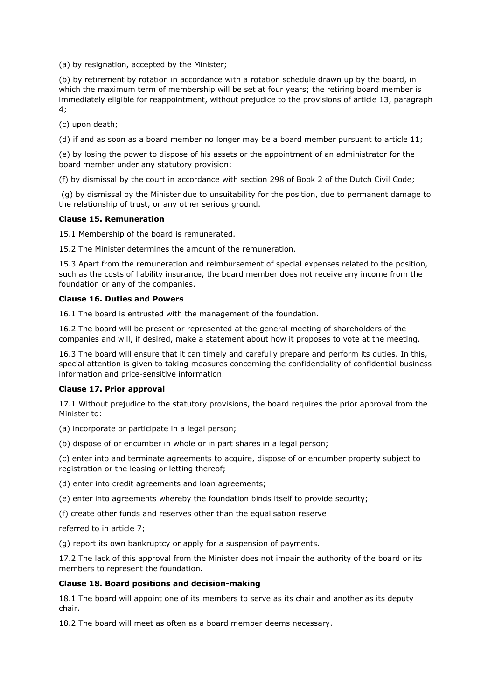(a) by resignation, accepted by the Minister;

(b) by retirement by rotation in accordance with a rotation schedule drawn up by the board, in which the maximum term of membership will be set at four years; the retiring board member is immediately eligible for reappointment, without prejudice to the provisions of article 13, paragraph 4;

(c) upon death;

(d) if and as soon as a board member no longer may be a board member pursuant to article 11;

(e) by losing the power to dispose of his assets or the appointment of an administrator for the board member under any statutory provision;

(f) by dismissal by the court in accordance with section 298 of Book 2 of the Dutch Civil Code;

(g) by dismissal by the Minister due to unsuitability for the position, due to permanent damage to the relationship of trust, or any other serious ground.

#### **Clause 15. Remuneration**

15.1 Membership of the board is remunerated.

15.2 The Minister determines the amount of the remuneration.

15.3 Apart from the remuneration and reimbursement of special expenses related to the position, such as the costs of liability insurance, the board member does not receive any income from the foundation or any of the companies.

#### **Clause 16. Duties and Powers**

16.1 The board is entrusted with the management of the foundation.

16.2 The board will be present or represented at the general meeting of shareholders of the companies and will, if desired, make a statement about how it proposes to vote at the meeting.

16.3 The board will ensure that it can timely and carefully prepare and perform its duties. In this, special attention is given to taking measures concerning the confidentiality of confidential business information and price-sensitive information.

#### **Clause 17. Prior approval**

17.1 Without prejudice to the statutory provisions, the board requires the prior approval from the Minister to:

(a) incorporate or participate in a legal person;

(b) dispose of or encumber in whole or in part shares in a legal person;

(c) enter into and terminate agreements to acquire, dispose of or encumber property subject to registration or the leasing or letting thereof;

(d) enter into credit agreements and loan agreements;

(e) enter into agreements whereby the foundation binds itself to provide security;

(f) create other funds and reserves other than the equalisation reserve

referred to in article 7;

(g) report its own bankruptcy or apply for a suspension of payments.

17.2 The lack of this approval from the Minister does not impair the authority of the board or its members to represent the foundation.

#### **Clause 18. Board positions and decision-making**

18.1 The board will appoint one of its members to serve as its chair and another as its deputy chair.

18.2 The board will meet as often as a board member deems necessary.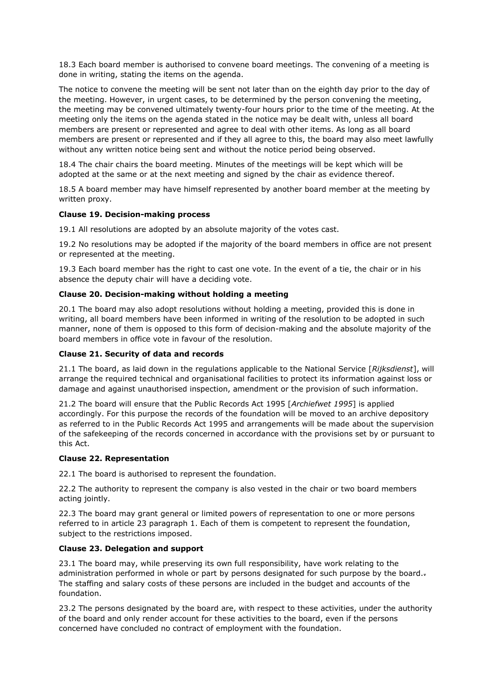18.3 Each board member is authorised to convene board meetings. The convening of a meeting is done in writing, stating the items on the agenda.

The notice to convene the meeting will be sent not later than on the eighth day prior to the day of the meeting. However, in urgent cases, to be determined by the person convening the meeting, the meeting may be convened ultimately twenty-four hours prior to the time of the meeting. At the meeting only the items on the agenda stated in the notice may be dealt with, unless all board members are present or represented and agree to deal with other items. As long as all board members are present or represented and if they all agree to this, the board may also meet lawfully without any written notice being sent and without the notice period being observed.

18.4 The chair chairs the board meeting. Minutes of the meetings will be kept which will be adopted at the same or at the next meeting and signed by the chair as evidence thereof.

18.5 A board member may have himself represented by another board member at the meeting by written proxy.

### **Clause 19. Decision-making process**

19.1 All resolutions are adopted by an absolute majority of the votes cast.

19.2 No resolutions may be adopted if the majority of the board members in office are not present or represented at the meeting.

19.3 Each board member has the right to cast one vote. In the event of a tie, the chair or in his absence the deputy chair will have a deciding vote.

## **Clause 20. Decision-making without holding a meeting**

20.1 The board may also adopt resolutions without holding a meeting, provided this is done in writing, all board members have been informed in writing of the resolution to be adopted in such manner, none of them is opposed to this form of decision-making and the absolute majority of the board members in office vote in favour of the resolution.

## **Clause 21. Security of data and records**

21.1 The board, as laid down in the regulations applicable to the National Service [*Rijksdienst*], will arrange the required technical and organisational facilities to protect its information against loss or damage and against unauthorised inspection, amendment or the provision of such information.

21.2 The board will ensure that the Public Records Act 1995 [*Archiefwet 1995*] is applied accordingly. For this purpose the records of the foundation will be moved to an archive depository as referred to in the Public Records Act 1995 and arrangements will be made about the supervision of the safekeeping of the records concerned in accordance with the provisions set by or pursuant to this Act.

### **Clause 22. Representation**

22.1 The board is authorised to represent the foundation.

22.2 The authority to represent the company is also vested in the chair or two board members acting jointly.

22.3 The board may grant general or limited powers of representation to one or more persons referred to in article 23 paragraph 1. Each of them is competent to represent the foundation, subject to the restrictions imposed.

# **Clause 23. Delegation and support**

23.1 The board may, while preserving its own full responsibility, have work relating to the administration performed in whole or part by persons designated for such purpose by the board.-The staffing and salary costs of these persons are included in the budget and accounts of the foundation.

23.2 The persons designated by the board are, with respect to these activities, under the authority of the board and only render account for these activities to the board, even if the persons concerned have concluded no contract of employment with the foundation.